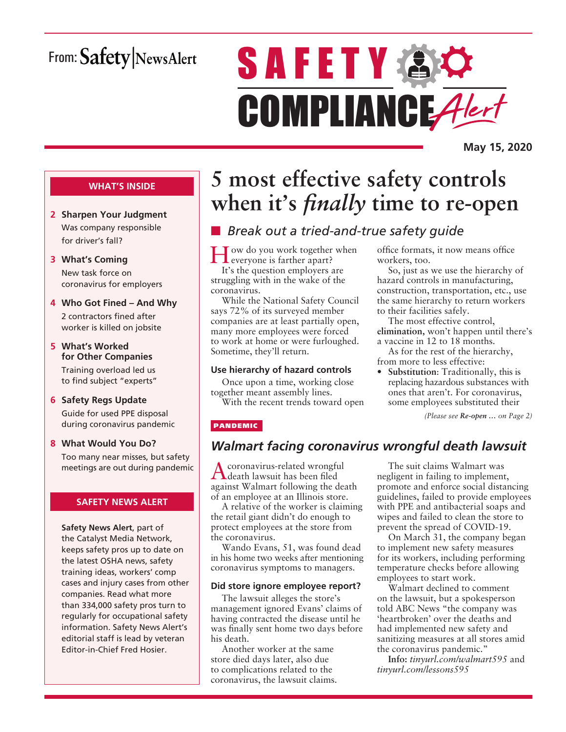# From: Safety NewsAlert

# **SAFETY & O** COMPLIANCE Alert

**May 15, 2020**

#### **WHAT'S INSIDE**

- **2 Sharpen Your Judgment** Was company responsible for driver's fall?
- **3 What's Coming** New task force on coronavirus for employers
- **4 Who Got Fined And Why** 2 contractors fined after worker is killed on jobsite
- **5 What's Worked for Other Companies** Training overload led us to find subject "experts"
- **6 Safety Regs Update** Guide for used PPE disposal during coronavirus pandemic
- **8 What Would You Do?** Too many near misses, but safety meetings are out during pandemic

#### **SAFETY NEWS ALERT**

**Safety News Alert**, part of the Catalyst Media Network, keeps safety pros up to date on the latest OSHA news, safety training ideas, workers' comp cases and injury cases from other companies. Read what more than 334,000 safety pros turn to regularly for occupational safety information. Safety News Alert's editorial staff is lead by veteran Editor-in-Chief Fred Hosier.

# **5 most effective safety controls when it's** *finally* **time to re-open**

# ■ *Break out a tried-and-true safety guide*

Tow do you work together when everyone is farther apart? It's the question employers are struggling with in the wake of the coronavirus.

While the National Safety Council says 72% of its surveyed member companies are at least partially open, many more employees were forced to work at home or were furloughed. Sometime, they'll return.

#### **Use hierarchy of hazard controls**

Once upon a time, working close together meant assembly lines.

With the recent trends toward open

PANDEMIC

### *Walmart facing coronavirus wrongful death lawsuit*

Acoronavirus-related wrongful death lawsuit has been filed against Walmart following the death of an employee at an Illinois store.

A relative of the worker is claiming the retail giant didn't do enough to protect employees at the store from the coronavirus.

Wando Evans, 51, was found dead in his home two weeks after mentioning coronavirus symptoms to managers.

#### **Did store ignore employee report?**

The lawsuit alleges the store's management ignored Evans' claims of having contracted the disease until he was finally sent home two days before his death.

Another worker at the same store died days later, also due to complications related to the coronavirus, the lawsuit claims.

The suit claims Walmart was negligent in failing to implement, promote and enforce social distancing guidelines, failed to provide employees with PPE and antibacterial soaps and wipes and failed to clean the store to prevent the spread of COVID-19.

office formats, it now means office

The most effective control, **elimination,** won't happen until there's

• **Substitution**: Traditionally, this is replacing hazardous substances with ones that aren't. For coronavirus, some employees substituted their

*(Please see Re-open … on Page 2)*

a vaccine in 12 to 18 months. As for the rest of the hierarchy,

from more to less effective:

So, just as we use the hierarchy of hazard controls in manufacturing, construction, transportation, etc., use the same hierarchy to return workers

workers, too.

to their facilities safely.

On March 31, the company began to implement new safety measures for its workers, including performing temperature checks before allowing employees to start work.

Walmart declined to comment on the lawsuit, but a spokesperson told ABC News "the company was 'heartbroken' over the deaths and had implemented new safety and sanitizing measures at all stores amid the coronavirus pandemic."

**Info:** *tinyurl.com/walmart595* and *tinyurl.com/lessons595*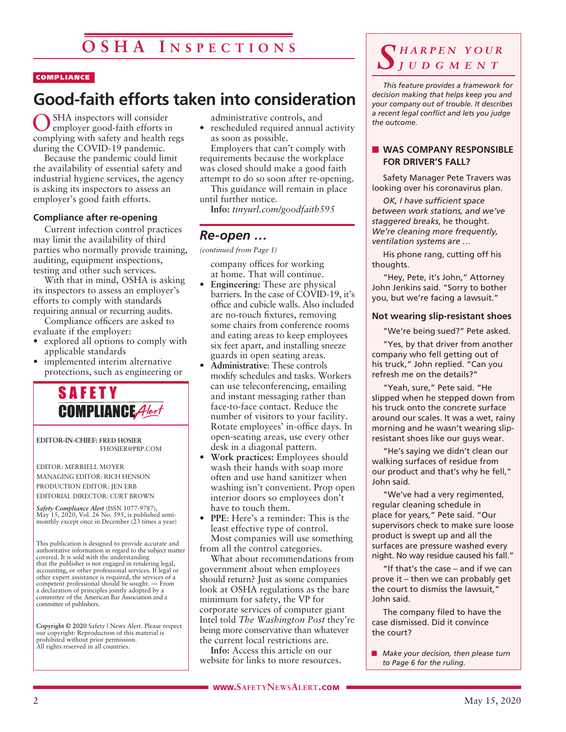#### COMPLIANCE

# **Good-faith efforts taken into consideration**

SHA inspectors will consider employer good-faith efforts in complying with safety and health regs during the COVID-19 pandemic.

Because the pandemic could limit the availability of essential safety and industrial hygiene services, the agency is asking its inspectors to assess an employer's good faith efforts.

#### **Compliance after re-opening**

Current infection control practices may limit the availability of third parties who normally provide training, auditing, equipment inspections, testing and other such services.

With that in mind, OSHA is asking its inspectors to assess an employer's efforts to comply with standards requiring annual or recurring audits.

Compliance officers are asked to evaluate if the employer:

- explored all options to comply with applicable standards
- implemented interim alternative protections, such as engineering or



**EDITOR-IN-CHIEF: FRED HOSIER** FHOSIER@PBP.COM

EDITOR: MERRIELL MOYER MANAGING EDITOR: RICH HENSON PRODUCTION EDITOR: JEN ERB EDITORIAL DIRECTOR: CURT BROWN

*Safety Compliance Alert* (ISSN 1077-9787), May 15, 2020, Vol. 26 No. 595, is published semi-monthly except once in December (23 times a year)

This publication is designed to provide accurate and authoritative information in regard to the subject matter covered. It is sold with the understanding that the publisher is not engaged in rendering legal, accounting, or other professional services. If legal or other expert assistance is required, the services of a competent professional should be sought. — From a declaration of principles jointly adopted by a committee of the American Bar Association and a committee of publishers.

**Copyright © 2020** Safety | News Alert. Please respect our copyright: Reproduction of this material is prohibited without prior permission. All rights reserved in all countries.

administrative controls, and

• rescheduled required annual activity as soon as possible.

Employers that can't comply with requirements because the workplace was closed should make a good faith attempt to do so soon after re-opening.

This guidance will remain in place until further notice.

**Info:** *tinyurl.com/goodfaith595*

#### *Re-open …*

*(continued from Page 1)*

company offices for working at home. That will continue.

- **Engineering**: These are physical barriers. In the case of COVID-19, it's office and cubicle walls. Also included are no-touch fixtures, removing some chairs from conference rooms and eating areas to keep employees six feet apart, and installing sneeze guards in open seating areas.
- **Administrative**: These controls modify schedules and tasks. Workers can use teleconferencing, emailing and instant messaging rather than face-to-face contact. Reduce the number of visitors to your facility. Rotate employees' in-office days. In open-seating areas, use every other desk in a diagonal pattern.
- **Work practices:** Employees should wash their hands with soap more often and use hand sanitizer when washing isn't convenient. Prop open interior doors so employees don't have to touch them.
- **PPE**: Here's a reminder: This is the least effective type of control. Most companies will use something

from all the control categories. What about recommendations from government about when employees should return? Just as some companies look at OSHA regulations as the bare minimum for safety, the VP for corporate services of computer giant Intel told *The Washington Post* they're being more conservative than whatever the current local restrictions are.

**Info:** Access this article on our website for links to more resources.

#### *S h a r p e n y o u r j u d g m e n t*

*This feature provides a framework for decision making that helps keep you and your company out of trouble. It describes a recent legal conflict and lets you judge the outcome.*

#### **NO WAS COMPANY RESPONSIBLE FOR DRIVER'S FALL?**

Safety Manager Pete Travers was looking over his coronavirus plan.

*OK, I have sufficient space between work stations, and we've staggered breaks*, he thought. *We're cleaning more frequently, ventilation systems are …*

His phone rang, cutting off his thoughts.

"Hey, Pete, it's John," Attorney John Jenkins said. "Sorry to bother you, but we're facing a lawsuit."

#### **Not wearing slip-resistant shoes**

"We're being sued?" Pete asked.

"Yes, by that driver from another company who fell getting out of his truck," John replied. "Can you refresh me on the details?"

"Yeah, sure," Pete said. "He slipped when he stepped down from his truck onto the concrete surface around our scales. It was a wet, rainy morning and he wasn't wearing slipresistant shoes like our guys wear.

"He's saying we didn't clean our walking surfaces of residue from our product and that's why he fell," John said.

"We've had a very regimented, regular cleaning schedule in place for years," Pete said. "Our supervisors check to make sure loose product is swept up and all the surfaces are pressure washed every night. No way residue caused his fall."

"If that's the case – and if we can prove it – then we can probably get the court to dismiss the lawsuit," John said.

The company filed to have the case dismissed. Did it convince the court?

**n** *Make your decision, then please turn to Page 6 for the ruling.*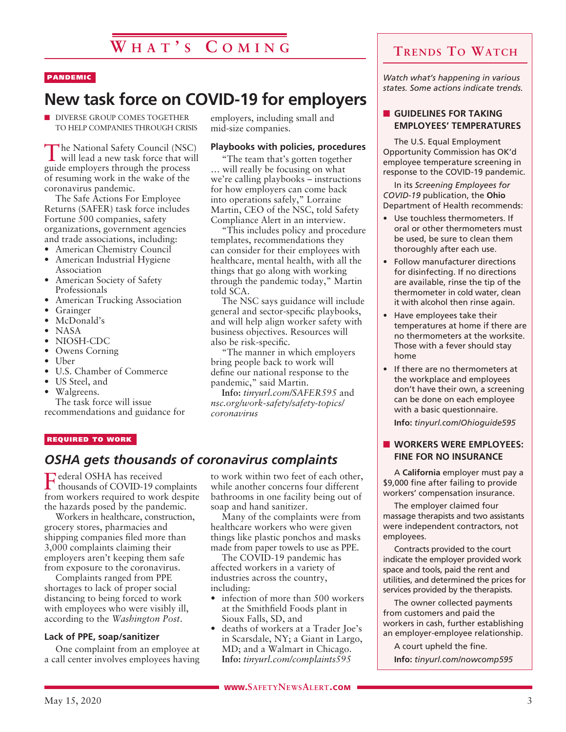#### PANDEMIC

# **New task force on COVID-19 for employers**

**N DIVERSE GROUP COMES TOGETHER** TO HELP COMPANIES THROUGH CRISIS

The National Safety Council (NSC) will lead a new task force that will guide employers through the process of resuming work in the wake of the coronavirus pandemic.

The Safe Actions For Employee Returns (SAFER) task force includes Fortune 500 companies, safety organizations, government agencies and trade associations, including:

- American Chemistry Council
- American Industrial Hygiene Association
- American Society of Safety Professionals
- American Trucking Association
- **Grainger**
- McDonald's
- NASA
- NIOSH-CDC
- Owens Corning
- Uber
- U.S. Chamber of Commerce
- US Steel, and
- Walgreens.

The task force will issue recommendations and guidance for employers, including small and mid-size companies.

#### **Playbooks with policies, procedures**

"The team that's gotten together … will really be focusing on what we're calling playbooks – instructions for how employers can come back into operations safely," Lorraine Martin, CEO of the NSC, told Safety Compliance Alert in an interview.

"This includes policy and procedure templates, recommendations they can consider for their employees with healthcare, mental health, with all the things that go along with working through the pandemic today," Martin told SCA.

The NSC says guidance will include general and sector-specific playbooks, and will help align worker safety with business objectives. Resources will also be risk-specific.

"The manner in which employers bring people back to work will define our national response to the pandemic," said Martin.

**Info:** *tinyurl.com/SAFER595* and *nsc.org/work-safety/safety-topics/ coronavirus*

#### REQUIRED TO WORK

### *OSHA gets thousands of coronavirus complaints*

Federal OSHA has received thousands of COVID-19 complaints from workers required to work despite the hazards posed by the pandemic.

Workers in healthcare, construction, grocery stores, pharmacies and shipping companies filed more than 3,000 complaints claiming their employers aren't keeping them safe from exposure to the coronavirus.

Complaints ranged from PPE shortages to lack of proper social distancing to being forced to work with employees who were visibly ill, according to the *Washington Post*.

#### **Lack of PPE, soap/sanitizer**

One complaint from an employee at a call center involves employees having to work within two feet of each other, while another concerns four different bathrooms in one facility being out of soap and hand sanitizer.

Many of the complaints were from healthcare workers who were given things like plastic ponchos and masks made from paper towels to use as PPE.

The COVID-19 pandemic has affected workers in a variety of industries across the country, including:

- infection of more than 500 workers at the Smithfield Foods plant in Sioux Falls, SD, and
- deaths of workers at a Trader Joe's in Scarsdale, NY; a Giant in Largo, MD; and a Walmart in Chicago. **Info:** *tinyurl.com/complaints595*

*Watch what's happening in various states. Some actions indicate trends.*

#### **n** GUIDELINES FOR TAKING **EMPLOYEES' TEMPERATURES**

The U.S. Equal Employment Opportunity Commission has OK'd employee temperature screening in response to the COVID-19 pandemic.

In its *Screening Employees for COVID-19* publication, the **Ohio** Department of Health recommends:

- Use touchless thermometers. If oral or other thermometers must be used, be sure to clean them thoroughly after each use.
- Follow manufacturer directions for disinfecting. If no directions are available, rinse the tip of the thermometer in cold water, clean it with alcohol then rinse again.
- Have employees take their temperatures at home if there are no thermometers at the worksite. Those with a fever should stay home
- If there are no thermometers at the workplace and employees don't have their own, a screening can be done on each employee with a basic questionnaire.

**Info:** *tinyurl.com/Ohioguide595*

#### **N WORKERS WERE EMPLOYEES: FINE FOR NO INSURANCE**

A **California** employer must pay a \$9,000 fine after failing to provide workers' compensation insurance.

The employer claimed four massage therapists and two assistants were independent contractors, not employees.

Contracts provided to the court indicate the employer provided work space and tools, paid the rent and utilities, and determined the prices for services provided by the therapists.

The owner collected payments from customers and paid the workers in cash, further establishing an employer-employee relationship.

A court upheld the fine. **Info:** *tinyurl.com/nowcomp595*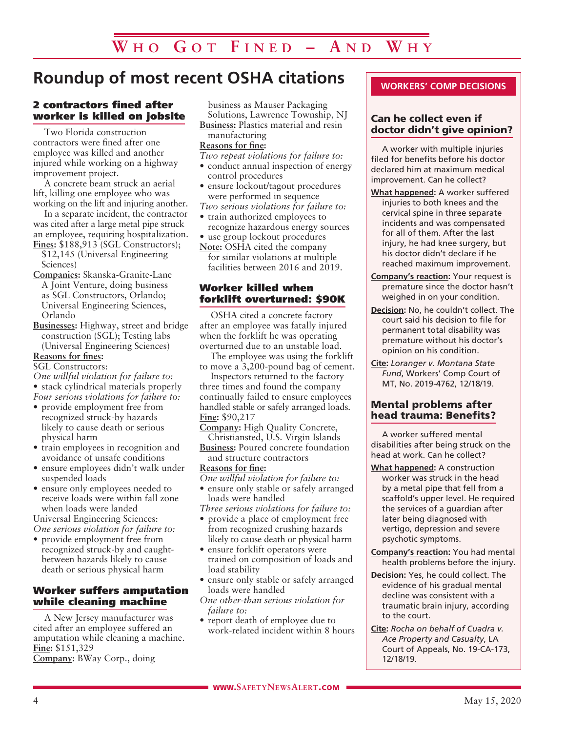# **Roundup of most recent OSHA citations**

#### 2 contractors fined after worker is killed on jobsite

Two Florida construction contractors were fined after one employee was killed and another injured while working on a highway improvement project.

A concrete beam struck an aerial lift, killing one employee who was working on the lift and injuring another.

In a separate incident, the contractor was cited after a large metal pipe struck an employee, requiring hospitalization. **Fines:** \$188,913 (SGL Constructors);

- \$12,145 (Universal Engineering Sciences)
- **Companies:** Skanska-Granite-Lane A Joint Venture, doing business as SGL Constructors, Orlando; Universal Engineering Sciences, Orlando
- **Businesses:** Highway, street and bridge construction (SGL); Testing labs (Universal Engineering Sciences)

#### **Reasons for fines:**

SGL Constructors:

- *One willful violation for failure to:*
- stack cylindrical materials properly *Four serious violations for failure to:*
- provide employment free from recognized struck-by hazards
- likely to cause death or serious physical harm
- train employees in recognition and avoidance of unsafe conditions
- ensure employees didn't walk under suspended loads
- ensure only employees needed to receive loads were within fall zone when loads were landed

Universal Engineering Sciences: *One serious violation for failure to:*

• provide employment free from recognized struck-by and caughtbetween hazards likely to cause death or serious physical harm

#### Worker suffers amputation while cleaning machine

A New Jersey manufacturer was cited after an employee suffered an amputation while cleaning a machine. **Fine:** \$151,329 **Company:** BWay Corp., doing

business as Mauser Packaging Solutions, Lawrence Township, NJ **Business:** Plastics material and resin

#### manufacturing **Reasons for fine:**

*Two repeat violations for failure to:*

- conduct annual inspection of energy control procedures
- ensure lockout/tagout procedures were performed in sequence
- *Two serious violations for failure to:* • train authorized employees to
- recognize hazardous energy sources • use group lockout procedures
- **Note:** OSHA cited the company for similar violations at multiple facilities between 2016 and 2019.

#### Worker killed when forklift overturned: \$90K

OSHA cited a concrete factory after an employee was fatally injured when the forklift he was operating overturned due to an unstable load.

The employee was using the forklift to move a 3,200-pound bag of cement.

Inspectors returned to the factory three times and found the company continually failed to ensure employees handled stable or safely arranged loads. **Fine:** \$90,217

**Company:** High Quality Concrete, Christiansted, U.S. Virgin Islands

**Business:** Poured concrete foundation and structure contractors

#### **Reasons for fine:**

*One willful violation for failure to:*

• ensure only stable or safely arranged loads were handled

*Three serious violations for failure to:*

- provide a place of employment free from recognized crushing hazards likely to cause death or physical harm
- ensure forklift operators were trained on composition of loads and load stability
- ensure only stable or safely arranged loads were handled
- *One other-than serious violation for failure to:*
- report death of employee due to work-related incident within 8 hours

#### **WORKERS' COMP DECISIONS**

#### Can he collect even if doctor didn't give opinion?

A worker with multiple injuries filed for benefits before his doctor declared him at maximum medical improvement. Can he collect?

- **What happened:** A worker suffered injuries to both knees and the cervical spine in three separate incidents and was compensated for all of them. After the last injury, he had knee surgery, but his doctor didn't declare if he reached maximum improvement.
- **Company's reaction:** Your request is premature since the doctor hasn't weighed in on your condition.
- **Decision:** No, he couldn't collect. The court said his decision to file for permanent total disability was premature without his doctor's opinion on his condition.
- **Cite:** *Loranger v. Montana State Fund*, Workers' Comp Court of MT, No. 2019-4762, 12/18/19.

#### Mental problems after head trauma: Benefits?

A worker suffered mental disabilities after being struck on the head at work. Can he collect?

- **What happened:** A construction worker was struck in the head by a metal pipe that fell from a scaffold's upper level. He required the services of a guardian after later being diagnosed with vertigo, depression and severe psychotic symptoms.
- **Company's reaction:** You had mental health problems before the injury.
- **Decision:** Yes, he could collect. The evidence of his gradual mental decline was consistent with a traumatic brain injury, according to the court.
- **Cite:** *Rocha on behalf of Cuadra v. Ace Property and Casualty*, LA Court of Appeals, No. 19-CA-173, 12/18/19.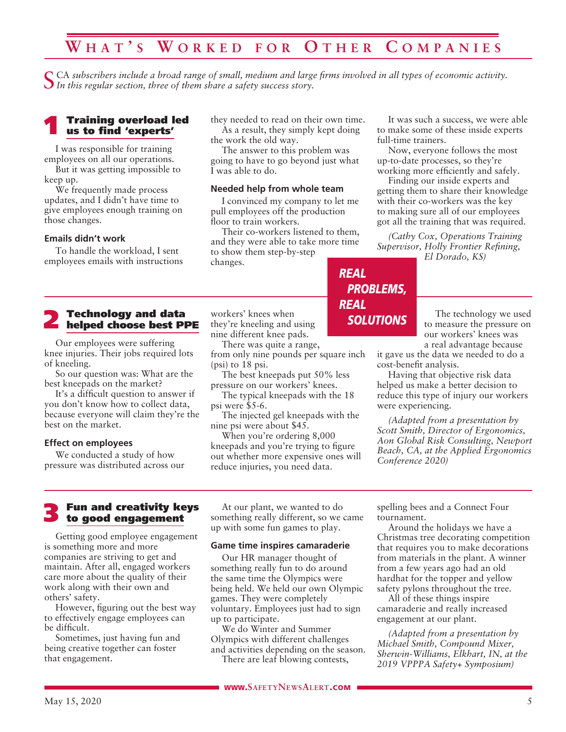# **W ha t ' s W o r k e d f o r O t h e r C o m p a n i e s**

CA subscribers include a broad range of small, medium and large firms involved in all types of economic activity. *In this regular section, three of them share a safety success story.*

#### 1 Training overload led us to find 'experts'

I was responsible for training employees on all our operations.

But it was getting impossible to keep up.

We frequently made process updates, and I didn't have time to give employees enough training on those changes.

#### **Emails didn't work**

To handle the workload, I sent employees emails with instructions

# **2** Technology and data<br>helped choose best PPE

Our employees were suffering knee injuries. Their jobs required lots of kneeling.

So our question was: What are the best kneepads on the market?

It's a difficult question to answer if you don't know how to collect data, because everyone will claim they're the best on the market.

#### **Effect on employees**

We conducted a study of how pressure was distributed across our they needed to read on their own time. As a result, they simply kept doing the work the old way.

The answer to this problem was going to have to go beyond just what I was able to do.

#### **Needed help from whole team**

I convinced my company to let me pull employees off the production floor to train workers.

Their co-workers listened to them, and they were able to take more time to show them step-by-step changes.

workers' knees when they're kneeling and using nine different knee pads.

There was quite a range, from only nine pounds per square inch (psi) to 18 psi.

The best kneepads put 50% less pressure on our workers' knees.

The typical kneepads with the 18 psi were \$5-6.

The injected gel kneepads with the nine psi were about \$45.

When you're ordering 8,000 kneepads and you're trying to figure out whether more expensive ones will reduce injuries, you need data.

It was such a success, we were able to make some of these inside experts full-time trainers.

Now, everyone follows the most up-to-date processes, so they're working more efficiently and safely.

Finding our inside experts and getting them to share their knowledge with their co-workers was the key to making sure all of our employees got all the training that was required.

*(Cathy Cox, Operations Training Supervisor, Holly Frontier Refining, El Dorado, KS)*

The technology we used

to measure the pressure on our workers' knees was a real advantage because

it gave us the data we needed to do a cost-benefit analysis.

Having that objective risk data helped us make a better decision to reduce this type of injury our workers were experiencing.

*(Adapted from a presentation by Scott Smith, Director of Ergonomics, Aon Global Risk Consulting, Newport Beach, CA, at the Applied Ergonomics Conference 2020)*

#### 3 Fun and creativity keys to good engagement

Getting good employee engagement is something more and more companies are striving to get and maintain. After all, engaged workers care more about the quality of their work along with their own and others' safety.

However, figuring out the best way to effectively engage employees can be difficult.

Sometimes, just having fun and being creative together can foster that engagement.

At our plant, we wanted to do something really different, so we came up with some fun games to play.

#### **Game time inspires camaraderie**

Our HR manager thought of something really fun to do around the same time the Olympics were being held. We held our own Olympic games. They were completely voluntary. Employees just had to sign up to participate.

We do Winter and Summer Olympics with different challenges and activities depending on the season. There are leaf blowing contests,

spelling bees and a Connect Four tournament.

Around the holidays we have a Christmas tree decorating competition that requires you to make decorations from materials in the plant. A winner from a few years ago had an old hardhat for the topper and yellow safety pylons throughout the tree.

All of these things inspire camaraderie and really increased engagement at our plant.

*(Adapted from a presentation by Michael Smith, Compound Mixer, Sherwin-Williams, Elkhart, IN, at the 2019 VPPPA Safety+ Symposium)*

### *REAL PROBLEMS, REAL SOLUTIONS*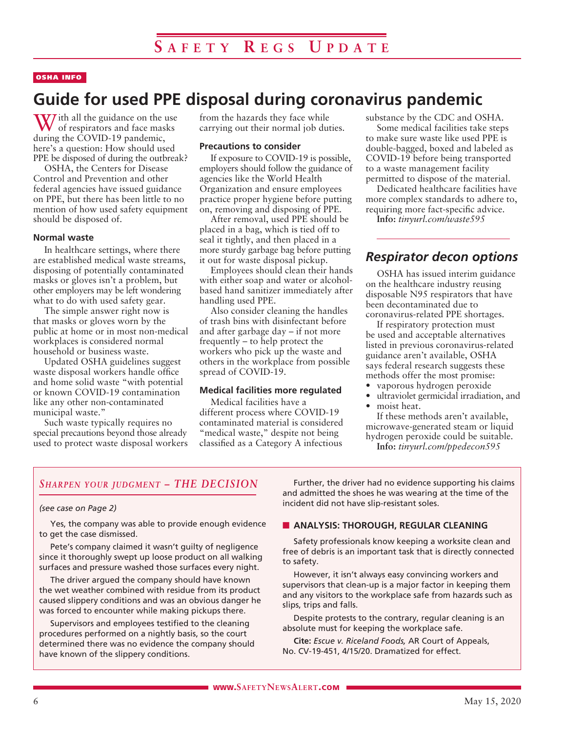#### OSHA INFO

# **Guide for used PPE disposal during coronavirus pandemic**

W ith all the guidance on the use<br>of respirators and face masks during the COVID-19 pandemic, here's a question: How should used PPE be disposed of during the outbreak?

OSHA, the Centers for Disease Control and Prevention and other federal agencies have issued guidance on PPE, but there has been little to no mention of how used safety equipment should be disposed of.

#### **Normal waste**

In healthcare settings, where there are established medical waste streams, disposing of potentially contaminated masks or gloves isn't a problem, but other employers may be left wondering what to do with used safety gear.

The simple answer right now is that masks or gloves worn by the public at home or in most non-medical workplaces is considered normal household or business waste.

Updated OSHA guidelines suggest waste disposal workers handle office and home solid waste "with potential or known COVID-19 contamination like any other non-contaminated municipal waste."

Such waste typically requires no special precautions beyond those already used to protect waste disposal workers

from the hazards they face while carrying out their normal job duties.

#### **Precautions to consider**

If exposure to COVID-19 is possible, employers should follow the guidance of agencies like the World Health Organization and ensure employees practice proper hygiene before putting on, removing and disposing of PPE.

After removal, used PPE should be placed in a bag, which is tied off to seal it tightly, and then placed in a more sturdy garbage bag before putting it out for waste disposal pickup.

Employees should clean their hands with either soap and water or alcoholbased hand sanitizer immediately after handling used PPE.

Also consider cleaning the handles of trash bins with disinfectant before and after garbage day – if not more frequently – to help protect the workers who pick up the waste and others in the workplace from possible spread of COVID-19.

#### **Medical facilities more regulated**

Medical facilities have a different process where COVID-19 contaminated material is considered "medical waste," despite not being classified as a Category A infectious

substance by the CDC and OSHA.

Some medical facilities take steps to make sure waste like used PPE is double-bagged, boxed and labeled as COVID-19 before being transported to a waste management facility permitted to dispose of the material.

Dedicated healthcare facilities have more complex standards to adhere to, requiring more fact-specific advice.

**Info:** *tinyurl.com/waste595*

#### *Respirator decon options*

OSHA has issued interim guidance on the healthcare industry reusing disposable N95 respirators that have been decontaminated due to coronavirus-related PPE shortages.

If respiratory protection must be used and acceptable alternatives listed in previous coronavirus-related guidance aren't available, OSHA says federal research suggests these methods offer the most promise:

- vaporous hydrogen peroxide
- ultraviolet germicidal irradiation, and
- moist heat.

If these methods aren't available, microwave-generated steam or liquid hydrogen peroxide could be suitable.

**Info:** *tinyurl.com/ppedecon595*

#### *Sharpen your judgment – THE DECISION*

#### *(see case on Page 2)*

Yes, the company was able to provide enough evidence to get the case dismissed.

Pete's company claimed it wasn't guilty of negligence since it thoroughly swept up loose product on all walking surfaces and pressure washed those surfaces every night.

The driver argued the company should have known the wet weather combined with residue from its product caused slippery conditions and was an obvious danger he was forced to encounter while making pickups there.

Supervisors and employees testified to the cleaning procedures performed on a nightly basis, so the court determined there was no evidence the company should have known of the slippery conditions.

Further, the driver had no evidence supporting his claims and admitted the shoes he was wearing at the time of the incident did not have slip-resistant soles.

#### **N** ANALYSIS: THOROUGH, REGULAR CLEANING

Safety professionals know keeping a worksite clean and free of debris is an important task that is directly connected to safety.

However, it isn't always easy convincing workers and supervisors that clean-up is a major factor in keeping them and any visitors to the workplace safe from hazards such as slips, trips and falls.

Despite protests to the contrary, regular cleaning is an absolute must for keeping the workplace safe.

**Cite:** *Escue v. Riceland Foods,* AR Court of Appeals, No. CV-19-451, 4/15/20. Dramatized for effect.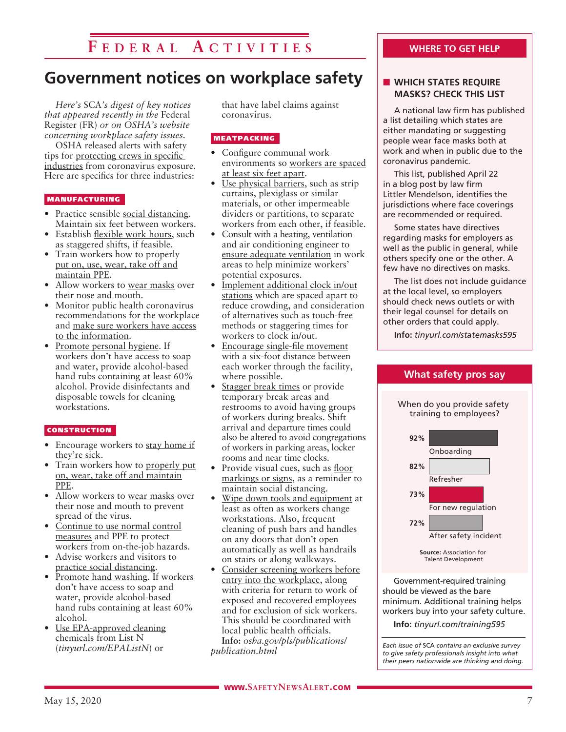# **F e d e r a l A c t i v i t i e s**

# **Government notices on workplace safety**

*Here's* SCA*'s digest of key notices that appeared recently in the* Federal Register (FR) *or on OSHA's website concerning workplace safety issues.* 

OSHA released alerts with safety tips for protecting crews in specific industries from coronavirus exposure. Here are specifics for three industries:

#### MANUFACTURING

- Practice sensible social distancing. Maintain six feet between workers.
- Establish flexible work hours, such as staggered shifts, if feasible.
- Train workers how to properly put on, use, wear, take off and maintain PPE.
- Allow workers to wear masks over their nose and mouth.
- Monitor public health coronavirus recommendations for the workplace and make sure workers have access to the information.
- Promote personal hygiene. If workers don't have access to soap and water, provide alcohol-based hand rubs containing at least 60% alcohol. Provide disinfectants and disposable towels for cleaning workstations.

#### **CONSTRUCTION**

- Encourage workers to stay home if they're sick.
- Train workers how to properly put on, wear, take off and maintain PPE.
- Allow workers to <u>wear masks</u> over their nose and mouth to prevent spread of the virus.
- Continue to use normal control measures and PPE to protect workers from on-the-job hazards.
- Advise workers and visitors to practice social distancing.
- Promote hand washing. If workers don't have access to soap and water, provide alcohol-based hand rubs containing at least 60% alcohol.
- Use EPA-approved cleaning chemicals from List N (*tinyurl.com/EPAListN*) or

that have label claims against coronavirus.

#### MEATPACKING

- Configure communal work environments so workers are spaced at least six feet apart.
- Use physical barriers, such as strip curtains, plexiglass or similar materials, or other impermeable dividers or partitions, to separate workers from each other, if feasible.
- Consult with a heating, ventilation and air conditioning engineer to ensure adequate ventilation in work areas to help minimize workers' potential exposures.
- Implement additional clock in/out stations which are spaced apart to reduce crowding, and consideration of alternatives such as touch-free methods or staggering times for workers to clock in/out.
- Encourage single-file movement with a six-foot distance between each worker through the facility, where possible.
- Stagger break times or provide temporary break areas and restrooms to avoid having groups of workers during breaks. Shift arrival and departure times could also be altered to avoid congregations of workers in parking areas, locker rooms and near time clocks.
- Provide visual cues, such as floor markings or signs, as a reminder to maintain social distancing.
- Wipe down tools and equipment at least as often as workers change workstations. Also, frequent cleaning of push bars and handles on any doors that don't open automatically as well as handrails on stairs or along walkways.
- Consider screening workers before entry into the workplace, along with criteria for return to work of exposed and recovered employees and for exclusion of sick workers. This should be coordinated with local public health officials. **Info:** *osha.gov/pls/publications/ publication.html*

#### **WHERE TO GET HELP**

#### **N WHICH STATES REQUIRE MASKS? CHECK THIS LIST**

A national law firm has published a list detailing which states are either mandating or suggesting people wear face masks both at work and when in public due to the coronavirus pandemic.

This list, published April 22 in a blog post by law firm Littler Mendelson, identifies the jurisdictions where face coverings are recommended or required.

Some states have directives regarding masks for employers as well as the public in general, while others specify one or the other. A few have no directives on masks.

The list does not include guidance at the local level, so employers should check news outlets or with their legal counsel for details on other orders that could apply.

**Info:** *tinyurl.com/statemasks595*



Government-required training should be viewed as the bare minimum. Additional training helps workers buy into your safety culture.

**Info:** *tinyurl.com/training595*

*Each issue of* SCA *contains an exclusive survey to give safety professionals insight into what their peers nationwide are thinking and doing.*

#### **What safety pros say**

When do you provide safety